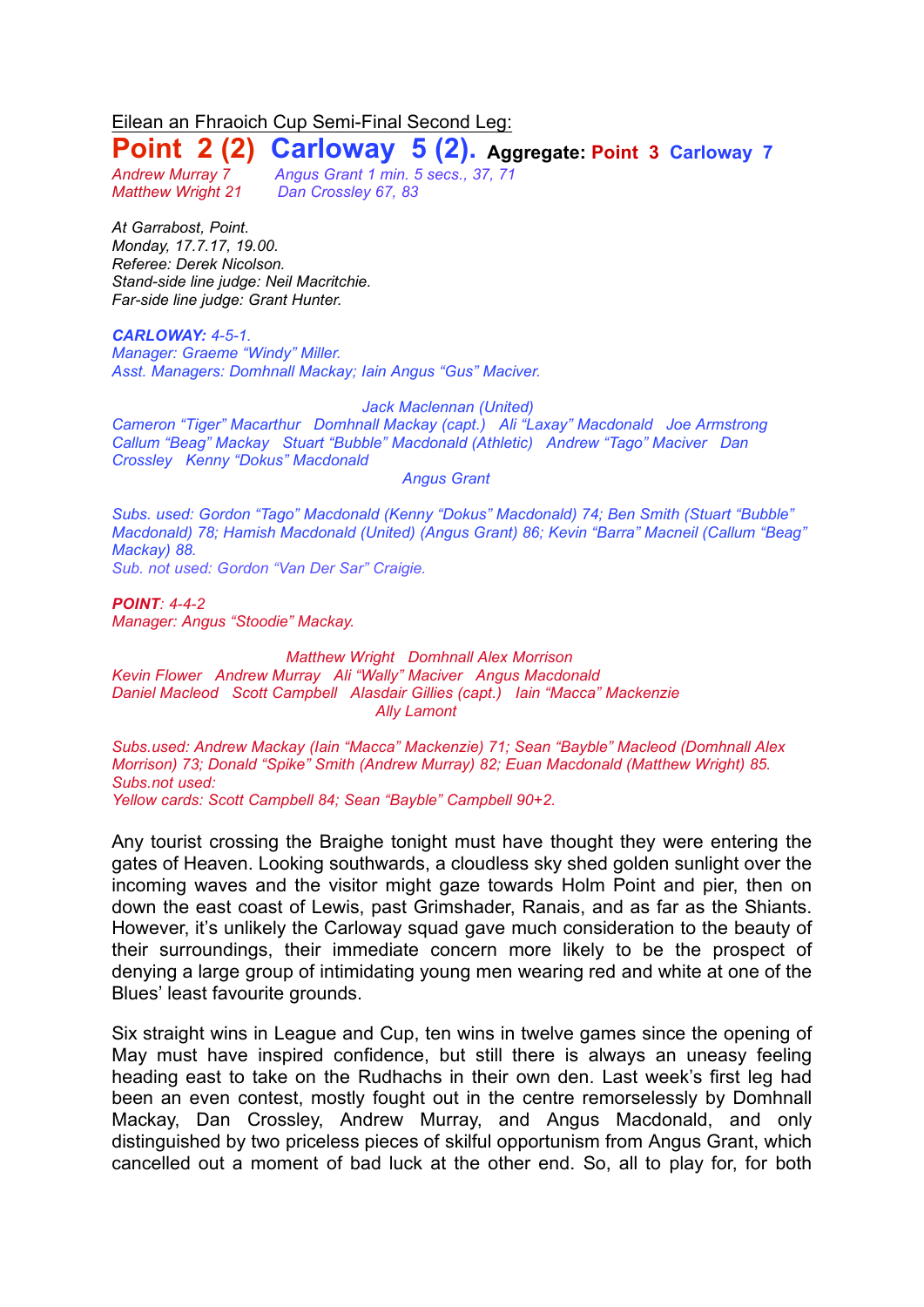Eilean an Fhraoich Cup Semi-Final Second Leg:

# **Point 2 (2) Carloway 5 (2). Aggregate: Point <sup>3</sup> Carloway <sup>7</sup>**

*Matthew Wright 21 Dan Crossley 67, 83*

*Andrew Murray 7 Angus Grant 1 min. 5 secs., 37, 71*

*At Garrabost, Point. Monday, 17.7.17, 19.00. Referee: Derek Nicolson. Stand-side line judge: Neil Macritchie. Far-side line judge: Grant Hunter.*

### *CARLOWAY: 4-5-1.*

*Manager: Graeme "Windy" Miller. Asst. Managers: Domhnall Mackay; Iain Angus "Gus" Maciver.*

### *Jack Maclennan (United)*

*Cameron "Tiger" Macarthur Domhnall Mackay (capt.) Ali "Laxay" Macdonald Joe Armstrong Callum "Beag" Mackay Stuart "Bubble" Macdonald (Athletic) Andrew "Tago" Maciver Dan Crossley Kenny "Dokus" Macdonald*

*Angus Grant*

*Subs. used: Gordon "Tago" Macdonald (Kenny "Dokus" Macdonald) 74; Ben Smith (Stuart "Bubble" Macdonald) 78; Hamish Macdonald (United) (Angus Grant) 86; Kevin "Barra" Macneil (Callum "Beag" Mackay) 88.* 

*Sub. not used: Gordon "Van Der Sar" Craigie.*

*POINT: 4-4-2 Manager: Angus "Stoodie" Mackay.*

*Matthew Wright Domhnall Alex Morrison Kevin Flower Andrew Murray Ali "Wally" Maciver Angus Macdonald Daniel Macleod Scott Campbell Alasdair Gillies (capt.) Iain "Macca" Mackenzie Ally Lamont*

*Subs.used: Andrew Mackay (Iain "Macca" Mackenzie) 71; Sean "Bayble" Macleod (Domhnall Alex Morrison) 73; Donald "Spike" Smith (Andrew Murray) 82; Euan Macdonald (Matthew Wright) 85. Subs.not used:*

*Yellow cards: Scott Campbell 84; Sean "Bayble" Campbell 90+2.*

Any tourist crossing the Braighe tonight must have thought they were entering the gates of Heaven. Looking southwards, a cloudless sky shed golden sunlight over the incoming waves and the visitor might gaze towards Holm Point and pier, then on down the east coast of Lewis, past Grimshader, Ranais, and as far as the Shiants. However, it's unlikely the Carloway squad gave much consideration to the beauty of their surroundings, their immediate concern more likely to be the prospect of denying a large group of intimidating young men wearing red and white at one of the Blues' least favourite grounds.

Six straight wins in League and Cup, ten wins in twelve games since the opening of May must have inspired confidence, but still there is always an uneasy feeling heading east to take on the Rudhachs in their own den. Last week's first leg had been an even contest, mostly fought out in the centre remorselessly by Domhnall Mackay, Dan Crossley, Andrew Murray, and Angus Macdonald, and only distinguished by two priceless pieces of skilful opportunism from Angus Grant, which cancelled out a moment of bad luck at the other end. So, all to play for, for both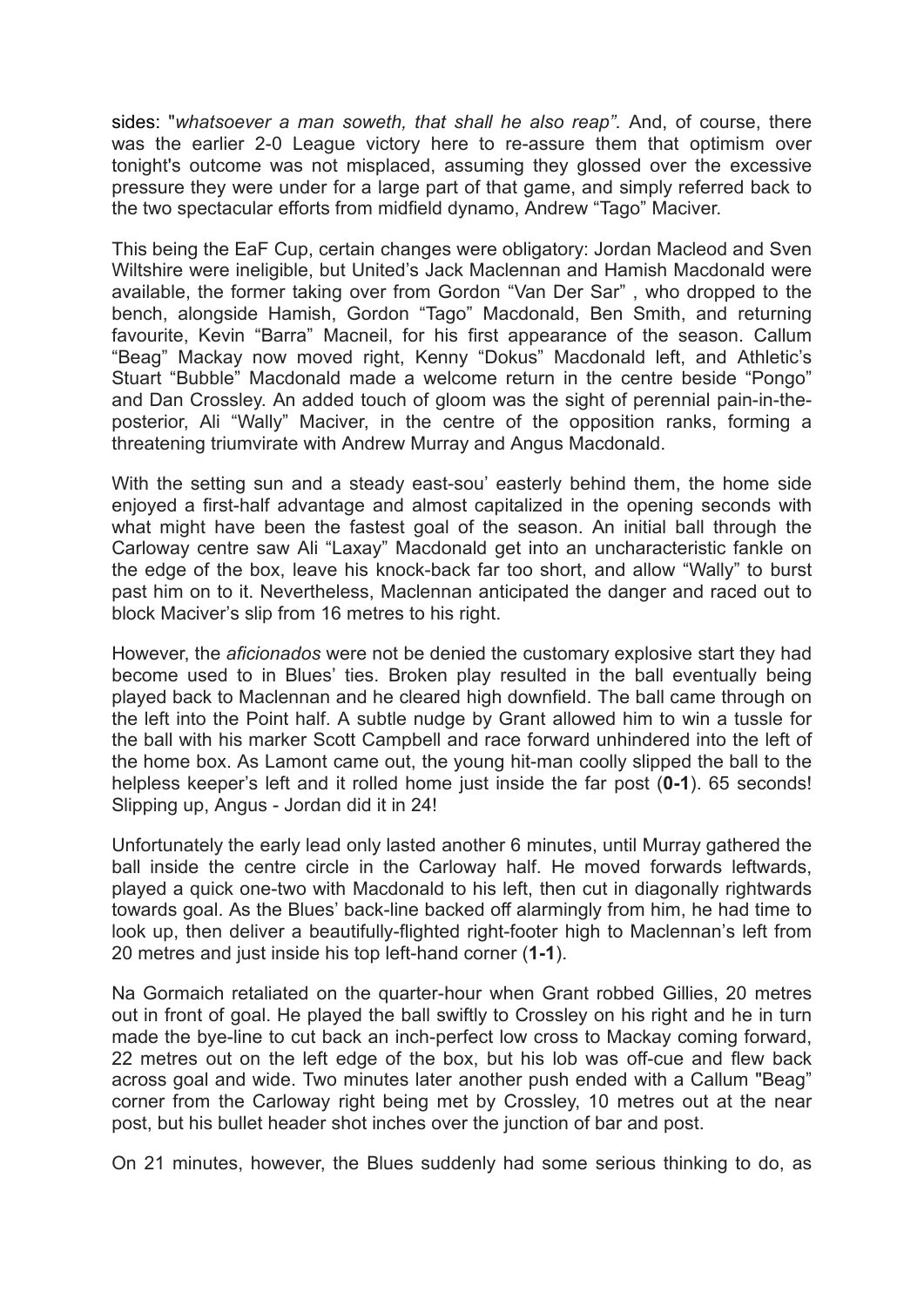sides: "*whatsoever a man soweth, that shall he also reap".* And, of course, there was the earlier 2-0 League victory here to re-assure them that optimism over tonight's outcome was not misplaced, assuming they glossed over the excessive pressure they were under for a large part of that game, and simply referred back to the two spectacular efforts from midfield dynamo, Andrew "Tago" Maciver.

This being the EaF Cup, certain changes were obligatory: Jordan Macleod and Sven Wiltshire were ineligible, but United's Jack Maclennan and Hamish Macdonald were available, the former taking over from Gordon "Van Der Sar" , who dropped to the bench, alongside Hamish, Gordon "Tago" Macdonald, Ben Smith, and returning favourite, Kevin "Barra" Macneil, for his first appearance of the season. Callum "Beag" Mackay now moved right, Kenny "Dokus" Macdonald left, and Athletic's Stuart "Bubble" Macdonald made a welcome return in the centre beside "Pongo" and Dan Crossley. An added touch of gloom was the sight of perennial pain-in-theposterior, Ali "Wally" Maciver, in the centre of the opposition ranks, forming a threatening triumvirate with Andrew Murray and Angus Macdonald.

With the setting sun and a steady east-sou' easterly behind them, the home side enjoyed a first-half advantage and almost capitalized in the opening seconds with what might have been the fastest goal of the season. An initial ball through the Carloway centre saw Ali "Laxay" Macdonald get into an uncharacteristic fankle on the edge of the box, leave his knock-back far too short, and allow "Wally" to burst past him on to it. Nevertheless, Maclennan anticipated the danger and raced out to block Maciver's slip from 16 metres to his right.

However, the *aficionados* were not be denied the customary explosive start they had become used to in Blues' ties. Broken play resulted in the ball eventually being played back to Maclennan and he cleared high downfield. The ball came through on the left into the Point half. A subtle nudge by Grant allowed him to win a tussle for the ball with his marker Scott Campbell and race forward unhindered into the left of the home box. As Lamont came out, the young hit-man coolly slipped the ball to the helpless keeper's left and it rolled home just inside the far post (**0-1**). 65 seconds! Slipping up, Angus - Jordan did it in 24!

Unfortunately the early lead only lasted another 6 minutes, until Murray gathered the ball inside the centre circle in the Carloway half. He moved forwards leftwards, played a quick one-two with Macdonald to his left, then cut in diagonally rightwards towards goal. As the Blues' back-line backed off alarmingly from him, he had time to look up, then deliver a beautifully-flighted right-footer high to Maclennan's left from 20 metres and just inside his top left-hand corner (**1-1**).

Na Gormaich retaliated on the quarter-hour when Grant robbed Gillies, 20 metres out in front of goal. He played the ball swiftly to Crossley on his right and he in turn made the bye-line to cut back an inch-perfect low cross to Mackay coming forward, 22 metres out on the left edge of the box, but his lob was off-cue and flew back across goal and wide. Two minutes later another push ended with a Callum "Beag" corner from the Carloway right being met by Crossley, 10 metres out at the near post, but his bullet header shot inches over the junction of bar and post.

On 21 minutes, however, the Blues suddenly had some serious thinking to do, as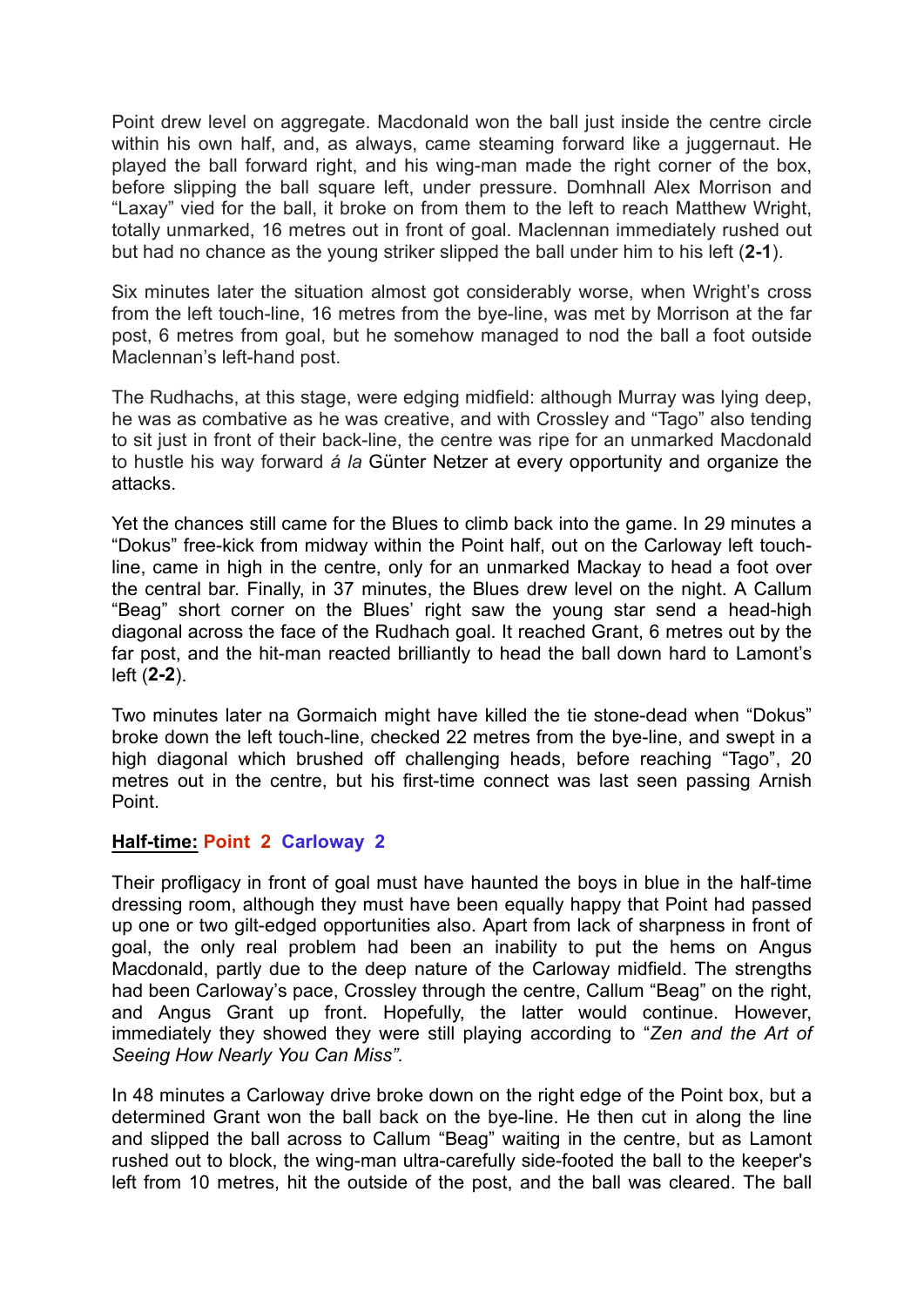Point drew level on aggregate. Macdonald won the ball just inside the centre circle within his own half, and, as always, came steaming forward like a juggernaut. He played the ball forward right, and his wing-man made the right corner of the box, before slipping the ball square left, under pressure. Domhnall Alex Morrison and "Laxay" vied for the ball, it broke on from them to the left to reach Matthew Wright, totally unmarked, 16 metres out in front of goal. Maclennan immediately rushed out but had no chance as the young striker slipped the ball under him to his left (**2-1**).

Six minutes later the situation almost got considerably worse, when Wright's cross from the left touch-line, 16 metres from the bye-line, was met by Morrison at the far post, 6 metres from goal, but he somehow managed to nod the ball a foot outside Maclennan's left-hand post.

The Rudhachs, at this stage, were edging midfield: although Murray was lying deep, he was as combative as he was creative, and with Crossley and "Tago" also tending to sit just in front of their back-line, the centre was ripe for an unmarked Macdonald to hustle his way forward *á la* Günter Netzer at every opportunity and organize the attacks.

Yet the chances still came for the Blues to climb back into the game. In 29 minutes a "Dokus" free-kick from midway within the Point half, out on the Carloway left touchline, came in high in the centre, only for an unmarked Mackay to head a foot over the central bar. Finally, in 37 minutes, the Blues drew level on the night. A Callum "Beag" short corner on the Blues' right saw the young star send a head-high diagonal across the face of the Rudhach goal. It reached Grant, 6 metres out by the far post, and the hit-man reacted brilliantly to head the ball down hard to Lamont's left (**2-2**).

Two minutes later na Gormaich might have killed the tie stone-dead when "Dokus" broke down the left touch-line, checked 22 metres from the bye-line, and swept in a high diagonal which brushed off challenging heads, before reaching "Tago", 20 metres out in the centre, but his first-time connect was last seen passing Arnish Point.

# **Half-time: Point 2 Carloway 2**

Their profligacy in front of goal must have haunted the boys in blue in the half-time dressing room, although they must have been equally happy that Point had passed up one or two gilt-edged opportunities also. Apart from lack of sharpness in front of goal, the only real problem had been an inability to put the hems on Angus Macdonald, partly due to the deep nature of the Carloway midfield. The strengths had been Carloway's pace, Crossley through the centre, Callum "Beag" on the right, and Angus Grant up front. Hopefully, the latter would continue. However, immediately they showed they were still playing according to "*Zen and the Art of Seeing How Nearly You Can Miss".*

In 48 minutes a Carloway drive broke down on the right edge of the Point box, but a determined Grant won the ball back on the bye-line. He then cut in along the line and slipped the ball across to Callum "Beag" waiting in the centre, but as Lamont rushed out to block, the wing-man ultra-carefully side-footed the ball to the keeper's left from 10 metres, hit the outside of the post, and the ball was cleared. The ball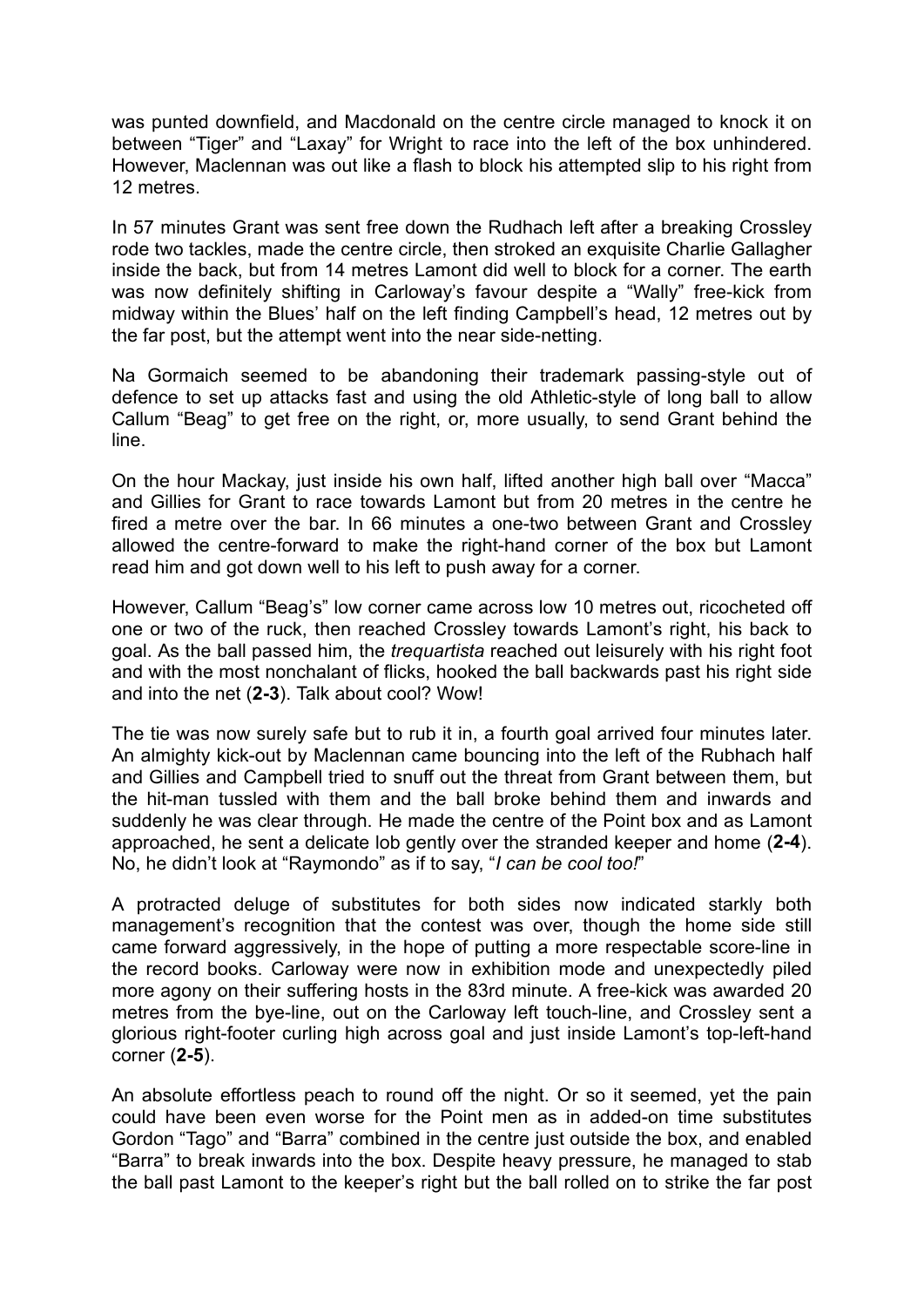was punted downfield, and Macdonald on the centre circle managed to knock it on between "Tiger" and "Laxay" for Wright to race into the left of the box unhindered. However, Maclennan was out like a flash to block his attempted slip to his right from 12 metres.

In 57 minutes Grant was sent free down the Rudhach left after a breaking Crossley rode two tackles, made the centre circle, then stroked an exquisite Charlie Gallagher inside the back, but from 14 metres Lamont did well to block for a corner. The earth was now definitely shifting in Carloway's favour despite a "Wally" free-kick from midway within the Blues' half on the left finding Campbell's head, 12 metres out by the far post, but the attempt went into the near side-netting.

Na Gormaich seemed to be abandoning their trademark passing-style out of defence to set up attacks fast and using the old Athletic-style of long ball to allow Callum "Beag" to get free on the right, or, more usually, to send Grant behind the line.

On the hour Mackay, just inside his own half, lifted another high ball over "Macca" and Gillies for Grant to race towards Lamont but from 20 metres in the centre he fired a metre over the bar. In 66 minutes a one-two between Grant and Crossley allowed the centre-forward to make the right-hand corner of the box but Lamont read him and got down well to his left to push away for a corner.

However, Callum "Beag's" low corner came across low 10 metres out, ricocheted off one or two of the ruck, then reached Crossley towards Lamont's right, his back to goal. As the ball passed him, the *trequartista* reached out leisurely with his right foot and with the most nonchalant of flicks, hooked the ball backwards past his right side and into the net (**2-3**). Talk about cool? Wow!

The tie was now surely safe but to rub it in, a fourth goal arrived four minutes later. An almighty kick-out by Maclennan came bouncing into the left of the Rubhach half and Gillies and Campbell tried to snuff out the threat from Grant between them, but the hit-man tussled with them and the ball broke behind them and inwards and suddenly he was clear through. He made the centre of the Point box and as Lamont approached, he sent a delicate lob gently over the stranded keeper and home (**2-4**). No, he didn't look at "Raymondo" as if to say, "*I can be cool too!*"

A protracted deluge of substitutes for both sides now indicated starkly both management's recognition that the contest was over, though the home side still came forward aggressively, in the hope of putting a more respectable score-line in the record books. Carloway were now in exhibition mode and unexpectedly piled more agony on their suffering hosts in the 83rd minute. A free-kick was awarded 20 metres from the bye-line, out on the Carloway left touch-line, and Crossley sent a glorious right-footer curling high across goal and just inside Lamont's top-left-hand corner (**2-5**).

An absolute effortless peach to round off the night. Or so it seemed, yet the pain could have been even worse for the Point men as in added-on time substitutes Gordon "Tago" and "Barra" combined in the centre just outside the box, and enabled "Barra" to break inwards into the box. Despite heavy pressure, he managed to stab the ball past Lamont to the keeper's right but the ball rolled on to strike the far post